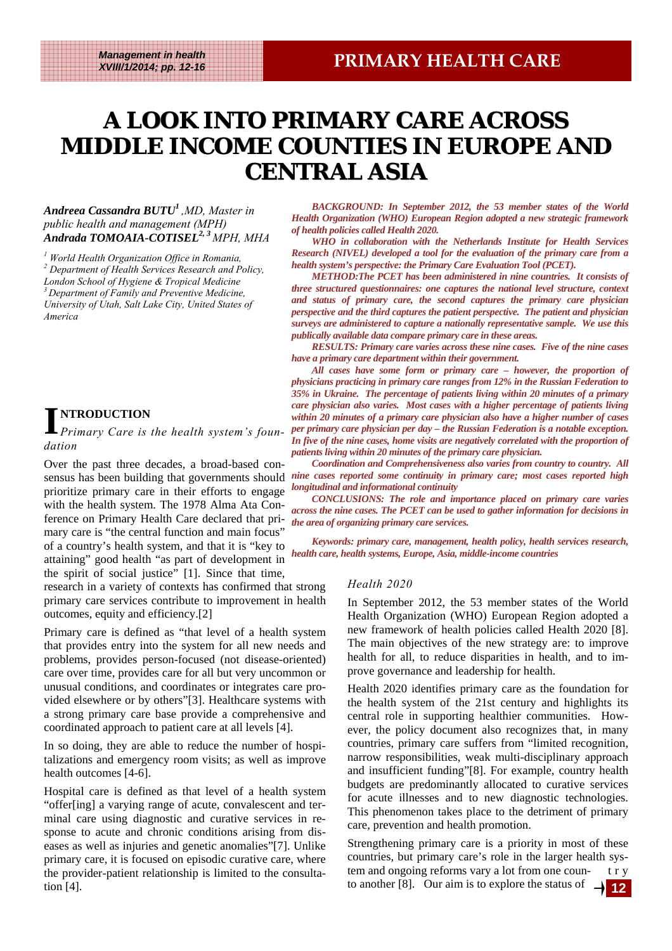## **A LOOK INTO PRIMARY CARE ACROSS MIDDLE INCOME COUNTIES IN EUROPE AND MIDDLE INCOME AND MIDDLE INCOME COUNTIES IN EUROPE AND CENTRAL ASIA**

#### *Andreea Cassandra BUTU1 ,MD, Master in public health and management (MPH) Andrada TOMOAIA-COTISEL2, 3 MPH, MHA*

*1 World Health Organization Office in Romania, 2 Department of Health Services Research and Policy, London School of Hygiene & Tropical Medicine 3 Department of Family and Preventive Medicine, University of Utah, Salt Lake City, United States of America* 

**I NTRODUCTION**  *Primary Care is the health system's foundation* 

Over the past three decades, a broad-based conprioritize primary care in their efforts to engage with the health system. The 1978 Alma Ata Conference on Primary Health Care declared that primary care is "the central function and main focus" of a country's health system, and that it is "key to attaining" good health "as part of development in the spirit of social justice" [1]. Since that time,

research in a variety of contexts has confirmed that strong primary care services contribute to improvement in health outcomes, equity and efficiency.[2]

Primary care is defined as "that level of a health system that provides entry into the system for all new needs and problems, provides person-focused (not disease-oriented) care over time, provides care for all but very uncommon or unusual conditions, and coordinates or integrates care provided elsewhere or by others"[3]. Healthcare systems with a strong primary care base provide a comprehensive and coordinated approach to patient care at all levels [4].

In so doing, they are able to reduce the number of hospitalizations and emergency room visits; as well as improve health outcomes [4-6].

Hospital care is defined as that level of a health system "offer[ing] a varying range of acute, convalescent and terminal care using diagnostic and curative services in response to acute and chronic conditions arising from diseases as well as injuries and genetic anomalies"[7]. Unlike primary care, it is focused on episodic curative care, where the provider-patient relationship is limited to the consultation [4].

*BACKGROUND: In September 2012, the 53 member states of the World Health Organization (WHO) European Region adopted a new strategic framework of health policies called Health 2020.* 

*WHO in collaboration with the Netherlands Institute for Health Services Research (NIVEL) developed a tool for the evaluation of the primary care from a health system's perspective: the Primary Care Evaluation Tool (PCET).* 

*METHOD:The PCET has been administered in nine countries. It consists of three structured questionnaires: one captures the national level structure, context and status of primary care, the second captures the primary care physician perspective and the third captures the patient perspective. The patient and physician surveys are administered to capture a nationally representative sample. We use this publically available data compare primary care in these areas.* 

*RESULTS: Primary care varies across these nine cases. Five of the nine cases have a primary care department within their government.* 

*All cases have some form or primary care – however, the proportion of physicians practicing in primary care ranges from 12% in the Russian Federation to 35% in Ukraine. The percentage of patients living within 20 minutes of a primary care physician also varies. Most cases with a higher percentage of patients living within 20 minutes of a primary care physician also have a higher number of cases per primary care physician per day – the Russian Federation is a notable exception.* 

In five of the nine cases, home visits are negatively correlated with the proportion of *patients living within 20 minutes of the primary care physician.* 

sensus has been building that governments should *nine cases reported some continuity in primary care; most cases reported high Coordination and Comprehensiveness also varies from country to country. All longitudinal and informational continuity* 

*CONCLUSIONS: The role and importance placed on primary care varies across the nine cases. The PCET can be used to gather information for decisions in the area of organizing primary care services.* 

*Keywords: primary care, management, health policy, health services research, health care, health systems, Europe, Asia, middle-income countries* 

#### *Health 2020*

In September 2012, the 53 member states of the World Health Organization (WHO) European Region adopted a new framework of health policies called Health 2020 [8]. The main objectives of the new strategy are: to improve health for all, to reduce disparities in health, and to improve governance and leadership for health.

Health 2020 identifies primary care as the foundation for the health system of the 21st century and highlights its central role in supporting healthier communities. However, the policy document also recognizes that, in many countries, primary care suffers from "limited recognition, narrow responsibilities, weak multi-disciplinary approach and insufficient funding"[8]. For example, country health budgets are predominantly allocated to curative services for acute illnesses and to new diagnostic technologies. This phenomenon takes place to the detriment of primary care, prevention and health promotion.

Strengthening primary care is a priority in most of these countries, but primary care's role in the larger health system and ongoing reforms vary a lot from one coun- t r y to another [8]. Our aim is to explore the status of  $\rightarrow$  **12**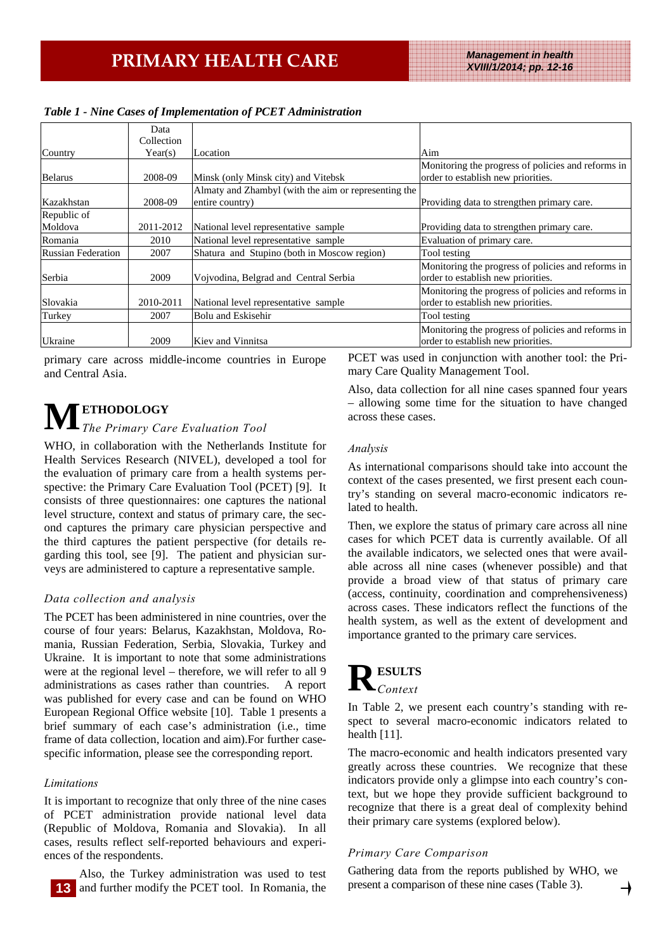|                           | Data       |                                                      |                                                    |
|---------------------------|------------|------------------------------------------------------|----------------------------------------------------|
|                           | Collection |                                                      |                                                    |
| Country                   | Year(s)    | Location                                             | Aim                                                |
|                           |            |                                                      | Monitoring the progress of policies and reforms in |
| <b>Belarus</b>            | 2008-09    | Minsk (only Minsk city) and Vitebsk                  | order to establish new priorities.                 |
|                           |            | Almaty and Zhambyl (with the aim or representing the |                                                    |
| Kazakhstan                | 2008-09    | entire country)                                      | Providing data to strengthen primary care.         |
| Republic of               |            |                                                      |                                                    |
| Moldova                   | 2011-2012  | National level representative sample                 | Providing data to strengthen primary care.         |
| Romania                   | 2010       | National level representative sample                 | Evaluation of primary care.                        |
| <b>Russian Federation</b> | 2007       | Shatura and Stupino (both in Moscow region)          | Tool testing                                       |
|                           |            |                                                      | Monitoring the progress of policies and reforms in |
| Serbia                    | 2009       | Vojvodina, Belgrad and Central Serbia                | order to establish new priorities.                 |
|                           |            |                                                      | Monitoring the progress of policies and reforms in |
| Slovakia                  | 2010-2011  | National level representative sample                 | order to establish new priorities.                 |
| Turkey                    | 2007       | Bolu and Eskisehir                                   | Tool testing                                       |
|                           |            |                                                      | Monitoring the progress of policies and reforms in |
| <b>Ukraine</b>            | 2009       | Kiev and Vinnitsa                                    | order to establish new priorities.                 |

*Table 1 - Nine Cases of Implementation of PCET Administration* 

primary care across middle-income countries in Europe and Central Asia.

# **M ETHODOLOGY**  *The Primary Care Evaluation Tool*

WHO, in collaboration with the Netherlands Institute for Health Services Research (NIVEL), developed a tool for the evaluation of primary care from a health systems perspective: the Primary Care Evaluation Tool (PCET) [9]. It consists of three questionnaires: one captures the national level structure, context and status of primary care, the second captures the primary care physician perspective and the third captures the patient perspective (for details regarding this tool, see [9]. The patient and physician surveys are administered to capture a representative sample.

### *Data collection and analysis*

The PCET has been administered in nine countries, over the course of four years: Belarus, Kazakhstan, Moldova, Romania, Russian Federation, Serbia, Slovakia, Turkey and Ukraine. It is important to note that some administrations were at the regional level – therefore, we will refer to all 9 administrations as cases rather than countries. A report was published for every case and can be found on WHO European Regional Office website [10]. Table 1 presents a brief summary of each case's administration (i.e., time frame of data collection, location and aim).For further casespecific information, please see the corresponding report.

### *Limitations*

It is important to recognize that only three of the nine cases of PCET administration provide national level data (Republic of Moldova, Romania and Slovakia). In all cases, results reflect self-reported behaviours and experiences of the respondents.

Also, the Turkey administration was used to test and further modify the PCET tool. In Romania, the PCET was used in conjunction with another tool: the Primary Care Quality Management Tool.

Also, data collection for all nine cases spanned four years – allowing some time for the situation to have changed across these cases.

#### *Analysis*

As international comparisons should take into account the context of the cases presented, we first present each country's standing on several macro-economic indicators related to health.

Then, we explore the status of primary care across all nine cases for which PCET data is currently available. Of all the available indicators, we selected ones that were available across all nine cases (whenever possible) and that provide a broad view of that status of primary care (access, continuity, coordination and comprehensiveness) across cases. These indicators reflect the functions of the health system, as well as the extent of development and importance granted to the primary care services.

## **RSULTS** *Context*

In Table 2, we present each country's standing with respect to several macro-economic indicators related to health [11].

The macro-economic and health indicators presented vary greatly across these countries. We recognize that these indicators provide only a glimpse into each country's context, but we hope they provide sufficient background to recognize that there is a great deal of complexity behind their primary care systems (explored below).

### *Primary Care Comparison*

Gathering data from the reports published by WHO, we present a comparison of these nine cases (Table 3).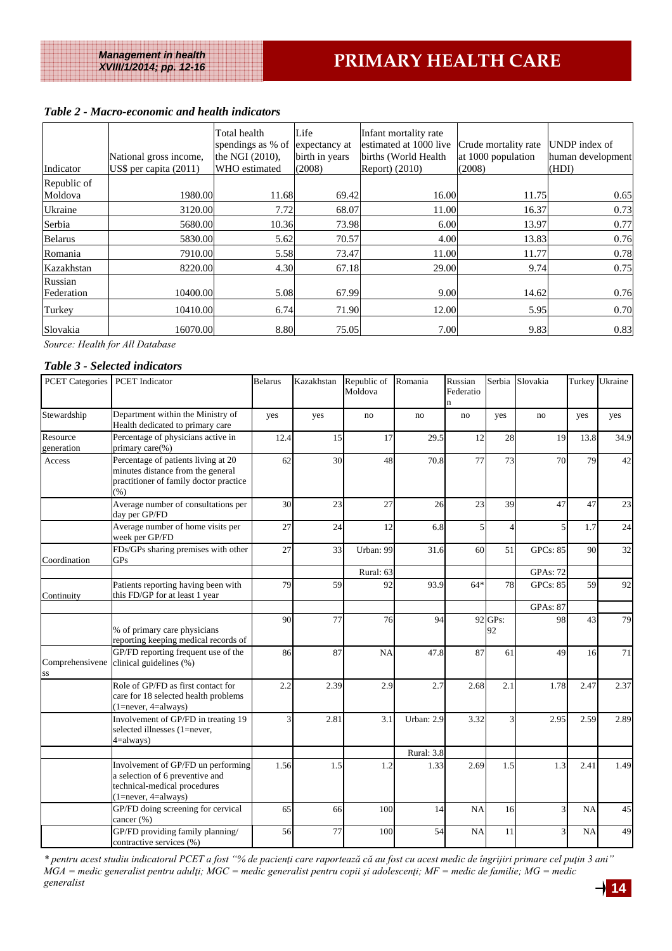#### *Table 2 - Macro-economic and health indicators*

| Indicator      | National gross income,<br>US\$ per capita $(2011)$ | Total health<br>spendings as % of<br>the NGI (2010),<br>WHO estimated | Life<br>expectancy at<br>birth in years<br>(2008) | Infant mortality rate<br>estimated at 1000 live<br>births (World Health<br>Report) (2010) | Crude mortality rate<br>at 1000 population<br>(2008) | UNDP index of<br>human development<br>(HDI) |
|----------------|----------------------------------------------------|-----------------------------------------------------------------------|---------------------------------------------------|-------------------------------------------------------------------------------------------|------------------------------------------------------|---------------------------------------------|
| Republic of    |                                                    |                                                                       |                                                   |                                                                                           |                                                      |                                             |
| Moldova        | 1980.00                                            | 11.68                                                                 | 69.42                                             | 16.00                                                                                     | 11.75                                                | 0.65                                        |
| <b>Ukraine</b> | 3120.00                                            | 7.72                                                                  | 68.07                                             | 11.00                                                                                     | 16.37                                                | 0.73                                        |
| Serbia         | 5680.00                                            | 10.36                                                                 | 73.98                                             | 6.00                                                                                      | 13.97                                                | 0.77                                        |
| Belarus        | 5830.00                                            | 5.62                                                                  | 70.57                                             | 4.00                                                                                      | 13.83                                                | 0.76                                        |
| Romania        | 7910.00                                            | 5.58                                                                  | 73.47                                             | 11.00                                                                                     | 11.77                                                | 0.78                                        |
| Kazakhstan     | 8220.00                                            | 4.30                                                                  | 67.18                                             | 29.00                                                                                     | 9.74                                                 | 0.75                                        |
| Russian        |                                                    |                                                                       |                                                   |                                                                                           |                                                      |                                             |
| Federation     | 10400.00                                           | 5.08                                                                  | 67.99                                             | 9.00                                                                                      | 14.62                                                | 0.76                                        |
| Turkey         | 10410.00                                           | 6.74                                                                  | 71.90                                             | 12.00                                                                                     | 5.95                                                 | 0.70                                        |
| Slovakia       | 16070.00                                           | 8.80                                                                  | 75.05                                             | 7.00                                                                                      | 9.83                                                 | 0.83                                        |

*Source: Health for All Database* 

#### *Table 3 - Selected indicators*

| <b>PCET</b> Categories     | <b>PCET</b> Indicator                                                                                                              | <b>Belarus</b> | Kazakhstan | Republic of<br>Moldova | Romania    | Russian<br>Federatio<br>n | Serbia         | Slovakia        |           | Turkey Ukraine |
|----------------------------|------------------------------------------------------------------------------------------------------------------------------------|----------------|------------|------------------------|------------|---------------------------|----------------|-----------------|-----------|----------------|
| Stewardship                | Department within the Ministry of<br>Health dedicated to primary care                                                              | yes            | yes        | no                     | no         | no                        | yes            | no              | yes       | yes            |
| Resource<br>generation     | Percentage of physicians active in<br>primary care(%)                                                                              | 12.4           | 15         | 17                     | 29.5       | 12                        | 28             | 19              | 13.8      | 34.9           |
| Access                     | Percentage of patients living at 20<br>minutes distance from the general<br>practitioner of family doctor practice<br>(%)          | 62             | 30         | 48                     | 70.8       | 77                        | 73             | 70              | 79        | 42             |
|                            | Average number of consultations per<br>day per GP/FD                                                                               | 30             | 23         | 27                     | 26         | 23                        | 39             | 47              | 47        | 23             |
|                            | Average number of home visits per<br>week per GP/FD                                                                                | 27             | 24         | 12                     | 6.8        | 5                         |                |                 | 1.7       | 24             |
| Coordination<br>Continuity | FDs/GPs sharing premises with other<br>GPs                                                                                         | 27             | 33         | Urban: 99              | 31.6       | 60                        | 51             | <b>GPCs: 85</b> | 90        | 32             |
|                            |                                                                                                                                    |                |            | Rural: 63              |            |                           |                | <b>GPAs: 72</b> |           |                |
|                            | Patients reporting having been with<br>this FD/GP for at least 1 year                                                              | 79             | 59         | 92                     | 93.9       | $64*$                     | 78             | <b>GPCs: 85</b> | 59        | 92             |
|                            |                                                                                                                                    |                |            |                        |            |                           |                | <b>GPAs: 87</b> |           |                |
|                            | % of primary care physicians<br>reporting keeping medical records of                                                               | 90             | 77         | 76                     | 94         |                           | 92 GPs:<br>92  | 98              | 43        | 79             |
| Comprehensivene<br>SS      | GP/FD reporting frequent use of the<br>clinical guidelines (%)                                                                     | 86             | 87         | <b>NA</b>              | 47.8       | 87                        | 61             | 49              | 16        | 71             |
|                            | Role of GP/FD as first contact for<br>care for 18 selected health problems<br>$(1 = never, 4 = always)$                            | 2.2            | 2.39       | 2.9                    | 2.7        | 2.68                      | 2.1            | 1.78            | 2.47      | 2.37           |
|                            | Involvement of GP/FD in treating 19<br>selected illnesses (1=never,<br>$4 =$ always)                                               | 3              | 2.81       | 3.1                    | Urban: 2.9 | 3.32                      | $\overline{3}$ | 2.95            | 2.59      | 2.89           |
|                            |                                                                                                                                    |                |            |                        | Rural: 3.8 |                           |                |                 |           |                |
|                            | Involvement of GP/FD un performing<br>a selection of 6 preventive and<br>technical-medical procedures<br>$(1 = never, 4 = always)$ | 1.56           | 1.5        | 1.2                    | 1.33       | 2.69                      | 1.5            | 1.3             | 2.41      | 1.49           |
|                            | GP/FD doing screening for cervical<br>cancer (%)                                                                                   | 65             | 66         | 100                    | 14         | <b>NA</b>                 | 16             | $\overline{3}$  | <b>NA</b> | 45             |
|                            | GP/FD providing family planning/<br>contractive services (%)                                                                       | 56             | 77         | 100                    | 54         | <b>NA</b>                 | 11             |                 | <b>NA</b> | 49             |

*\* pentru acest studiu indicatorul PCET a fost "% de pacienţi care raportează că au fost cu acest medic de îngrijiri primare cel puţin 3 ani" MGA = medic generalist pentru adulţi; MGC = medic generalist pentru copii şi adolescenţi; MF = medic de familie; MG = medic generalist* **14**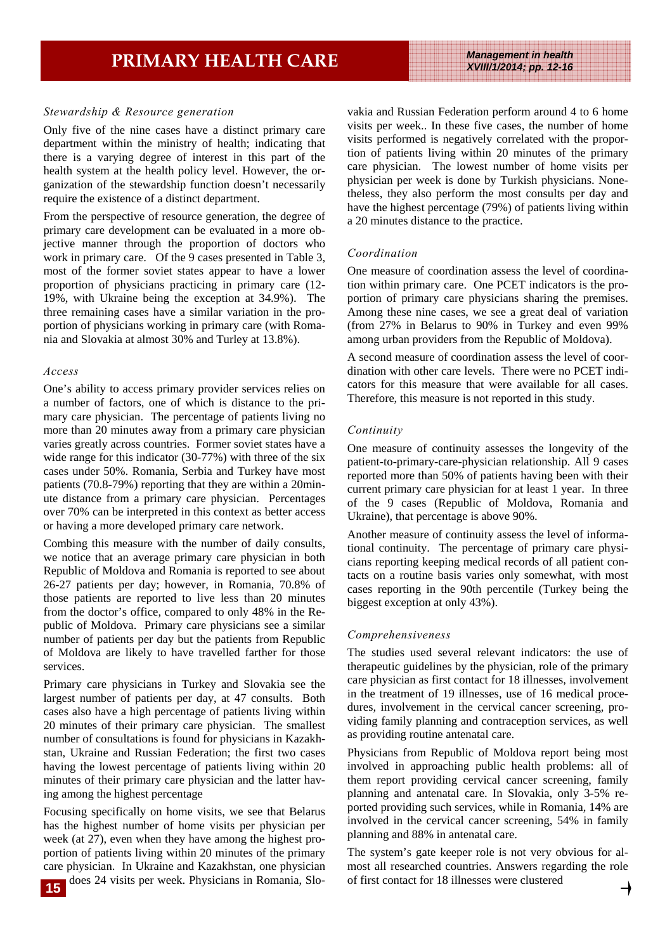#### *Stewardship & Resource generation*

Only five of the nine cases have a distinct primary care department within the ministry of health; indicating that there is a varying degree of interest in this part of the health system at the health policy level. However, the organization of the stewardship function doesn't necessarily require the existence of a distinct department.

From the perspective of resource generation, the degree of primary care development can be evaluated in a more objective manner through the proportion of doctors who work in primary care. Of the 9 cases presented in Table 3, most of the former soviet states appear to have a lower proportion of physicians practicing in primary care (12- 19%, with Ukraine being the exception at 34.9%). The three remaining cases have a similar variation in the proportion of physicians working in primary care (with Romania and Slovakia at almost 30% and Turley at 13.8%).

#### *Access*

One's ability to access primary provider services relies on a number of factors, one of which is distance to the primary care physician. The percentage of patients living no more than 20 minutes away from a primary care physician varies greatly across countries. Former soviet states have a wide range for this indicator (30-77%) with three of the six cases under 50%. Romania, Serbia and Turkey have most patients (70.8-79%) reporting that they are within a 20minute distance from a primary care physician. Percentages over 70% can be interpreted in this context as better access or having a more developed primary care network.

Combing this measure with the number of daily consults, we notice that an average primary care physician in both Republic of Moldova and Romania is reported to see about 26-27 patients per day; however, in Romania, 70.8% of those patients are reported to live less than 20 minutes from the doctor's office, compared to only 48% in the Republic of Moldova. Primary care physicians see a similar number of patients per day but the patients from Republic of Moldova are likely to have travelled farther for those services.

Primary care physicians in Turkey and Slovakia see the largest number of patients per day, at 47 consults. Both cases also have a high percentage of patients living within 20 minutes of their primary care physician. The smallest number of consultations is found for physicians in Kazakhstan, Ukraine and Russian Federation; the first two cases having the lowest percentage of patients living within 20 minutes of their primary care physician and the latter having among the highest percentage

Focusing specifically on home visits, we see that Belarus has the highest number of home visits per physician per week (at 27), even when they have among the highest proportion of patients living within 20 minutes of the primary care physician. In Ukraine and Kazakhstan, one physician vakia and Russian Federation perform around 4 to 6 home visits per week.. In these five cases, the number of home visits performed is negatively correlated with the proportion of patients living within 20 minutes of the primary care physician. The lowest number of home visits per physician per week is done by Turkish physicians. Nonetheless, they also perform the most consults per day and have the highest percentage (79%) of patients living within a 20 minutes distance to the practice.

#### *Coordination*

One measure of coordination assess the level of coordination within primary care. One PCET indicators is the proportion of primary care physicians sharing the premises. Among these nine cases, we see a great deal of variation (from 27% in Belarus to 90% in Turkey and even 99% among urban providers from the Republic of Moldova).

A second measure of coordination assess the level of coordination with other care levels. There were no PCET indicators for this measure that were available for all cases. Therefore, this measure is not reported in this study.

#### *Continuity*

One measure of continuity assesses the longevity of the patient-to-primary-care-physician relationship. All 9 cases reported more than 50% of patients having been with their current primary care physician for at least 1 year. In three of the 9 cases (Republic of Moldova, Romania and Ukraine), that percentage is above 90%.

Another measure of continuity assess the level of informational continuity. The percentage of primary care physicians reporting keeping medical records of all patient contacts on a routine basis varies only somewhat, with most cases reporting in the 90th percentile (Turkey being the biggest exception at only 43%).

#### *Comprehensiveness*

The studies used several relevant indicators: the use of therapeutic guidelines by the physician, role of the primary care physician as first contact for 18 illnesses, involvement in the treatment of 19 illnesses, use of 16 medical procedures, involvement in the cervical cancer screening, providing family planning and contraception services, as well as providing routine antenatal care.

Physicians from Republic of Moldova report being most involved in approaching public health problems: all of them report providing cervical cancer screening, family planning and antenatal care. In Slovakia, only 3-5% reported providing such services, while in Romania, 14% are involved in the cervical cancer screening, 54% in family planning and 88% in antenatal care.

does 24 visits per week. Physicians in Romania, Slo-of first contact for 18 illnesses were clustered **15**The system's gate keeper role is not very obvious for almost all researched countries. Answers regarding the role